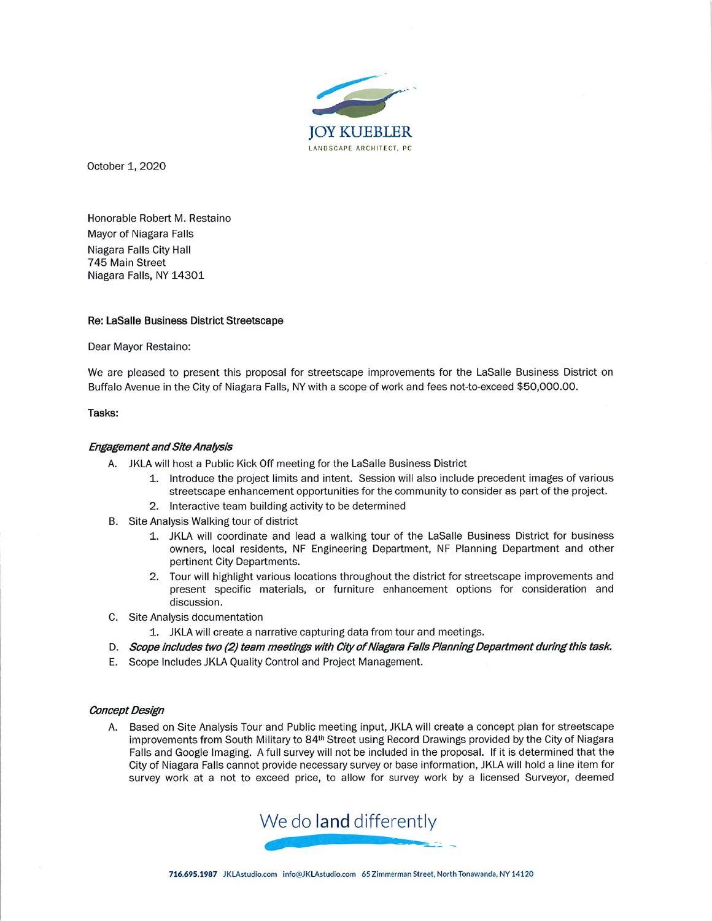

October 1, 2020

Honorable Robert M. Restaino Mayor of Niagara Falls Niagara Falls City Hall 745 Main Street Niagara Falls, NY 14301

# Re: LaSalle Business District Streetscape

Dear Mayor Restaino:

We are pleased to present this proposal for streetscape improvements for the LaSalle Business District on Buffalo Avenue in the City of Niagara Falls, NY with a scope of work and fees not-to-exceed \$50,000.00.

### Tasks:

# Engagement and Site Analysis

- A. JKLA will host a Public Kick Off meeting for the LaSalie Business District
	- 1. Introduce the project limits and intent. Session will also include precedent images of various streetscape enhancement opportunities for the community to consider as part of the project.
	- 2. Interactive team building activity to be determined
- B. Site Analysis Walking tour of district
	- 1. JKLA will coordinate and lead a walking tour of the LaSalle Business District for business owners, local residents, NF Engineering Department, NF Planning Department and other pertinent City Departments.
	- 2. Tour will highlight various locations throughout the district for streetscape improvements and present specific materials, or furniture enhancement options for consideration and discussion.
- C. Site Analysis documentation
	- 1. JKLA will create a narrative capturing data from tour and meetings.
- D. Scope includes two (2) team meetings with City of Niagara Falls Planning Department during this task.
- E. Scope Includes JKLA Quality Control and Project Management

#### Concept Design

A. Based on Site Analysis Tour and Public meeting input, JKLA will create a concept plan for streetscape improvements from South Military to 84<sup>th</sup> Street using Record Drawings provided by the City of Niagara Falls and Google Imaging. A full survey will not be included in the proposal. If it is determined that the City of Niagara Falls cannot provide necessary survey or base information, JKLA will hold a line item for survey work at a not to exceed price, to allow for survey work by a licensed Surveyor, deemed

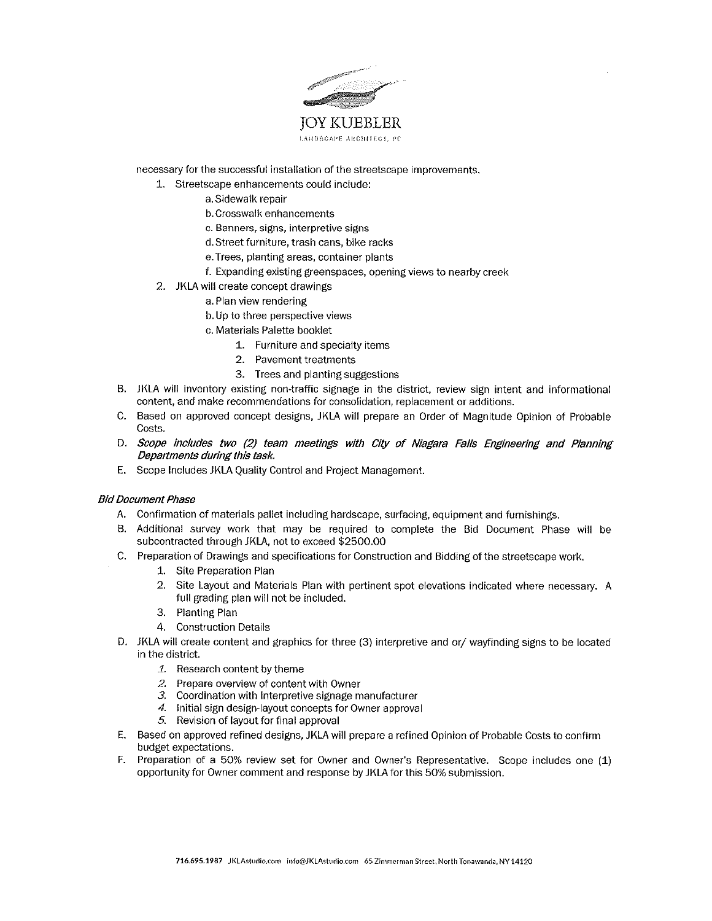

necessary for the successful installation of the streetscape improvements.

- 1. Streetscape enhancements could inciude:
	- a.Sidewalk repair
	- b. Crosswalk enhancements
	- c. Banners, signs, interpretive signs
	- d.Street furniture, trash cans, bike racks
	- e. Trees, planting areas, container plants
	- f. Expanding existing greenspaces, opening views to nearby creek
- 2. JKLA will create concept drawings
	- a. Plan view rendering
	- b. Up to three perspective views
	- c. Materials Palette booklet
		- 1. Furniture and specialty items
		- 2. Pavement treatments
		- 3. Trees and planting suggestions
- B. JKLA will inventory existing non-traftic signage in the district, review sign intent and informational content, and make recommendations for consoiidation, replacement or additions.
- C- Based on approved concept designs, JKLA will prepare an Order of Magnitude Opinion of Probable Costs.
- D. Scope includes two (2) team meetings with City of Niagara Falls Engineering and Planning Departments during this task.
- E. Scope Includes JKLA Quality Control and Project Management.

### Bid Document Phase

- A. Confirmation of materials pallet including hardscape, surfacing, equipment and furnishings.
- 8. Additional survey work that may be required to compiete the Bid Document Phase wiil be subcontracted through JKLA, not to exceed \$2500.00
- C. Preparation of Drawings and specifications for Construction and Bidding of the streetscape work.
	- 1. Site Preparation Plan
	- 2. Site Layout and Materials Plan with pertinent spot elevations indicated where necessary. A full grading plan will not be included.
	- 3. Planting Plan
	- 4. Construction Details
- D. JKLA will create content and graphics for three (3) interpretive and or/ wayfinding signs to be located in the district.
	- 1. Research content by theme
	- 2. Prepare overview of content with Owner
	- 3. Coordination with Interpretive signage manufacturer
	- 4. initial sign design-layout concepts for Owner approval
	- 5. Revision of layout for final approval
- E. Based on approved refined designs, JKLA will prepare a refined Opinion of Probable Costs to confirm budget expectations.
- F. Preparation of a 50% review set for Owner and Owner's Representative. Scope includes one (i) opportunity for Owner comment and response by JKLA for this 50% submission.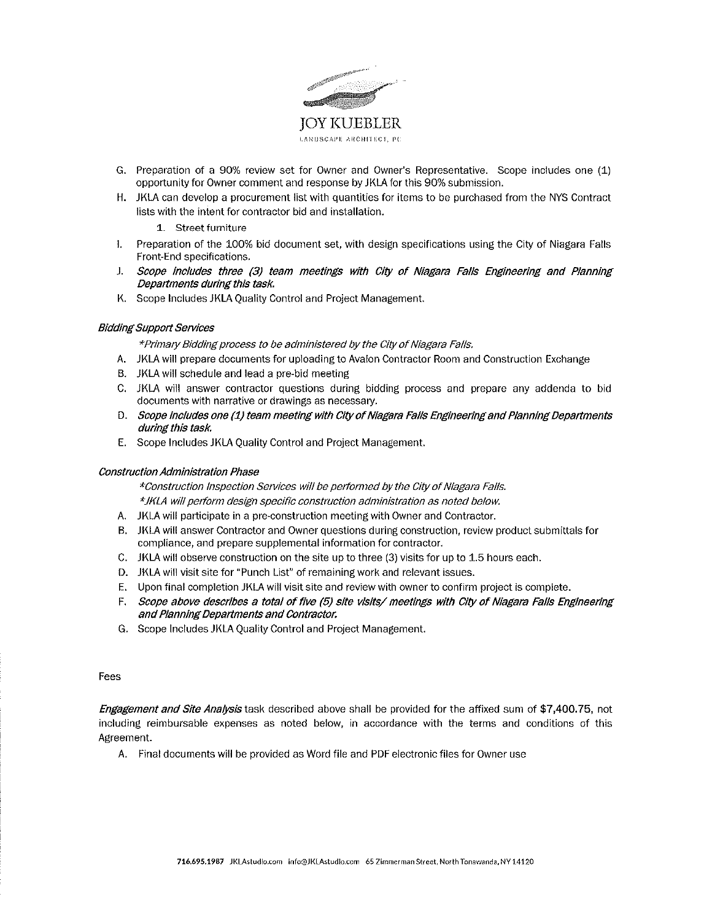

- G. Preparation of a 90% review set for Owner and Owner's Representative. Scope includes one (1) opportunity for Owner comment and response byJKLA for this 90% submission.
- H. JKLA can develop a procurement list with quantities for items to be purchased from the NYS Contract lists with the intent for contractor bid and installation.

1. Street furniture

- i. Preparation of the 100% bid document set, with design specifications using the City of Niagara Fails Front-End specifications.
- J. Scope includes three (3) team meetings with City of Niagara Falls Engineering and Pfanning Departments during this tash.
- K. Scope Includes JKLA Quality Control and Project Management.

### **Bidding Support Services**

\*Pnmafy Bidding process to be administered by the City of Niagara Fails.

- A. JKLA will prepare documents for uploading to Avalon Contractor Room and Construction Exchange
- B. JKLA will schedule and lead a pre-bid meeting
- C. JKLA will answer contractor questions during bidding process and prepare any addenda to bid documents with narrative or drawings as necessary.
- D. Scope includes one (1) team meeting with City of Niagara Fails Engineering and Planning Departments during this task.
- E. Scope Includes JKLA Quality Control and Project Management

#### Construction Administration Phase

^Construction Inspection Sen/ices will be performed by the City of Niagara Falls. \*JKLA wl{i perform design specific construction administration as noted below.

- A. JKLAwili participate in a pre-construction meeting with Owner and Contractor.
- B. JKLAwili answer Contractor and Owner questions during construction, review product submittals for compliance, and prepare suppiementai information for contractor.
- C. JKLA will observe construction on the site up to three (3) visits for up to 1.5 hours each.
- D. JKLA will visit site for "Punch List" of remaining work and relevant issues.
- E. Upon final completion JKLA will visit site and review with owner to confirm project is complete.
- F. Scope above describes a total of five (5) site visits/ meetings with City of Niagara Falls Engineering and Planning Departments and Contractor.
- G. Scope Includes JKLA Quality Control and Project Management.

Fees

Engagement and Site Analysis task described above shall be provided for the affixed sum of \$7,400.75, not including reimbursable expenses as noted below, in accordance with the terms and conditions of this Agreement.

A. Final documents will be provided as Word file and PDF electronic files for Owner use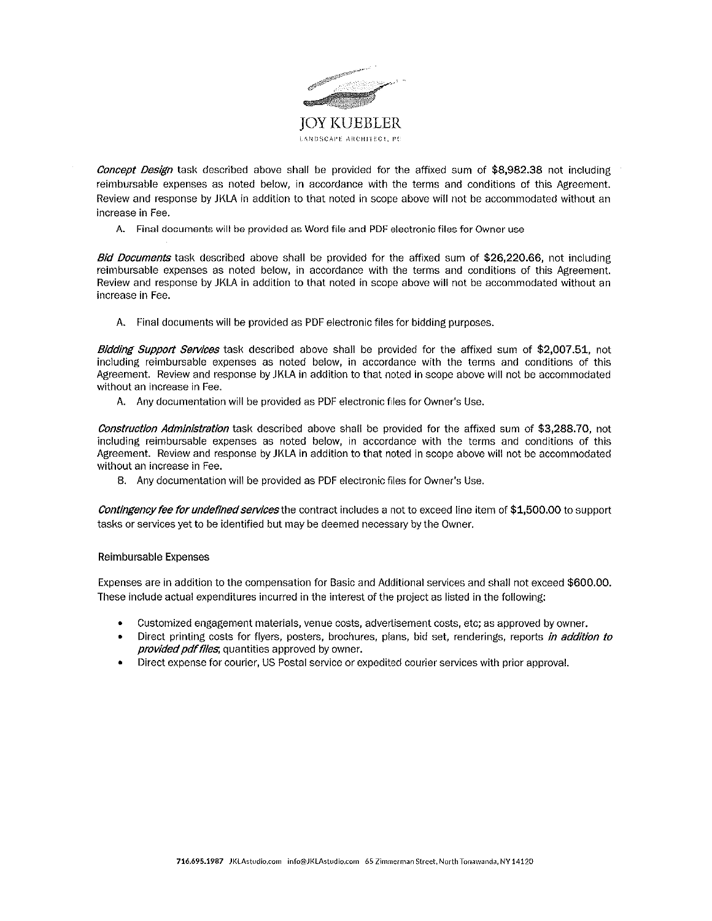

**Concept Design task described above shall be provided for the affixed sum of \$8,982.38 not including** reimbursabie expenses as noted below, in accordance with the terms and conditions of this Agreement. Review and response by JKLA in addition to that noted in scope above will not be accommodated without an increase in Fee.

A. Final documents will be provided as Word file and PDF electronic files for Owner use

Bid Documents task described above shall be provided for the affixed sum of \$26,220.66, not including reimbursabie expenses as noted below, in accordance with the terms and conditions of this Agreement. Review and response by JKLA in addition to that noted in scope above will not be accommodated without an increase in Fee.

A. Final documents will be provided as PDF electronic flies for bidding purposes.

Bidding Support Services task described above shall be provided for the affixed sum of \$2,007.51, not including reimbursable expenses as noted beiow, in accordance with the terms and conditions of this Agreement. Review and response by JKLA in addition to that noted in scope above wilt not be accommodated without an increase in Fee.

A. Any documentation will be provided as PDF electronic fifes for Owner's Use.

Construction Administration task described above shall be provided for the affixed sum of \$3,288.70, not including reimbursabie expenses as noted below, in accordance with the terms and conditions of this Agreement. Review and response by JKLA in addition to that noted in scope above wili not be accommodated without an increase in Fee.

8. Any documentation will be provided as PDF electronic files for Owner's Use.

Contingency fee for undefined services the contract includes a not to exceed line item of \$1,500.00 to support tasks or services yet to be identified but may be deemed necessary by the Owner.

# Reimbursable Expenses

Expenses are in addition to the compensation for Basic and Additionai services and shall not exceed \$600.00. These include actual expenditures incurred in the interest of the project as listed in the following:

- Customized engagement materials, venue costs, advertisement costs, etc; as approved by owner.
- Direct printing costs for flyers, posters, brochures, plans, bid set, renderings, reports in addition to provided pdf files, quantities approved by owner.
- Direct expense for courier, US Postal service or expedited courier services with prior approval.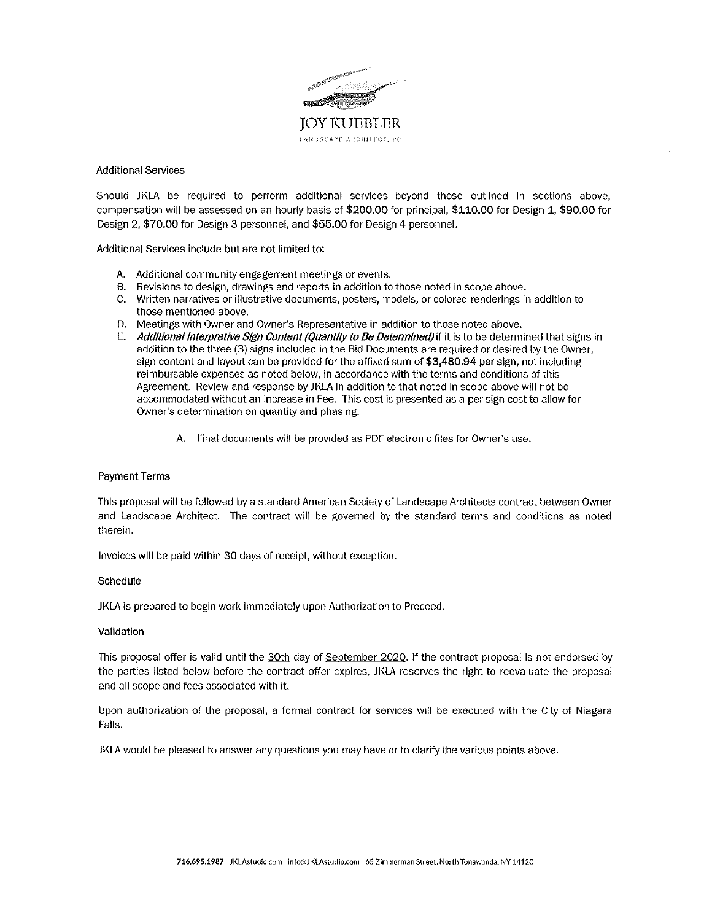

### Additional Services

Should JKLA be required to perform additional services beyond those outlined in sections above, compensation will be assessed on an hourly basis of \$200.00 for principal, \$110.00 for Design 1, \$90.00 for Design 2, \$70.00 for Design 3 personnel, and \$55.00 for Design 4 personneL

Additional Services include but are not limited to:

- A. Additional community engagement meetings or events.
- 8. Revisions to design, drawings and reports in addition to those noted in scope above.
- C. Written narratives or iilustrative documents, posters, models, or colored renderings in addition to those mentioned above.
- D. Meetings with Owner and Owner's Representative in addition to those noted above.
- E. Additional Interpretive Sign Content (Quantity to Be Determined) if it is to be determined that signs in addition to the three (3) signs included in the Bid Documents are required or desired by the Owner, sign content and layout can be provided for the affixed sum of \$3,480.94 per sign, not including reimbursable expenses as noted below, in accordance with the terms and conditions of this Agreement. Review and response by JKLA in addition to that noted in scope above will not be accommodated without an increase in Fee. This cost is presented as a per sign cost to allow for Owner's determination on quantity and phasing.
	- A. Final documents wiil be provided as PDF electronic flies for Owner's use.

# Payment Terms

This proposal will be foliowed by a standard American Society of Landscape Architects contract between Owner and Landscape Architect. The contract will be governed by the standard terms and conditions as noted therein.

Invoices will be paid within 30 days of receipt, without exception.

#### **Schedule**

JKLA is prepared to begin work immediately upon Authorization to Proceed.

#### Validation

This proposal offer is valid until the 30th day of September 2020. If the contract proposal is not endorsed by the parties listed below before the contract offer expires, JKLA reserves the right to reevaluate the proposal and all scope and fees associated with it.

Upon authorization of the proposal, a formal contract for services will be executed with the City of Niagara FaHs.

JKLA wouid be pleased to answer any questions you may have or to clarify the various points above.